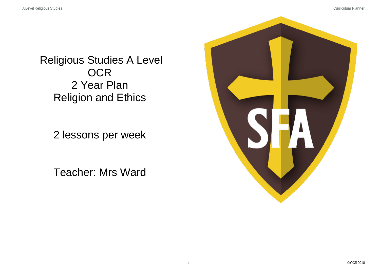Religious Studies A Level **OCR** 2 Year Plan Religion and Ethics

2 lessons per week

Teacher: Mrs Ward

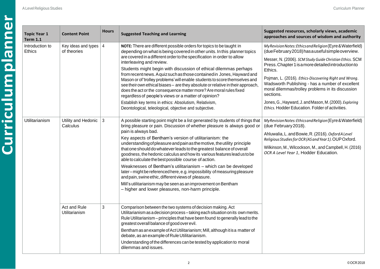| <b>Topic Year 1</b><br><b>Term 1.1</b> | <b>Content Point</b>                   | <b>Hours</b>   | <b>Suggested Teaching and Learning</b>                                                                                                                                                                                                                                                                                                                                                                                                                                                                                                                                                                                                                                                                                                                                                                                                                             | Suggested resources, scholarly views, academic<br>approaches and sources of wisdom and authority                                                                                                                                                                                                                                                                                                                                                                                                                                         |
|----------------------------------------|----------------------------------------|----------------|--------------------------------------------------------------------------------------------------------------------------------------------------------------------------------------------------------------------------------------------------------------------------------------------------------------------------------------------------------------------------------------------------------------------------------------------------------------------------------------------------------------------------------------------------------------------------------------------------------------------------------------------------------------------------------------------------------------------------------------------------------------------------------------------------------------------------------------------------------------------|------------------------------------------------------------------------------------------------------------------------------------------------------------------------------------------------------------------------------------------------------------------------------------------------------------------------------------------------------------------------------------------------------------------------------------------------------------------------------------------------------------------------------------------|
| Introduction to<br>Ethics              | Key ideas and types $ $<br>of theories | $\overline{4}$ | NOTE: There are different possible orders for topics to be taught in<br>depending on what is being covered in other units. In this planner topics<br>are covered in a different order to the specification in order to allow<br>interleaving and review.<br>Students might begin with discussion of ethical dilemmas perhaps<br>from recent news. A quiz such as those contained in Jones, Hayward and<br>Mason or of 'trolley problems' will enable students to score themselves and<br>see their own ethical biases - are they absolute or relative in their approach,<br>does the act or the consequence matter more? Are moral rules fixed<br>regardless of people's views or a matter of opinion?<br>Establish key terms in ethics: Absolutism, Relativism,<br>Deontological, teleological, objective and subjective.                                         | My Revision Notes: Ethics and Religion (Eyre & Waterfield)<br>(dueFebruary2018) has a useful simple overview.<br>Messer, N. (2006). SCM Study Guide Christian Ethics. SCM<br>Press. Chapter 1 is a more detailed introduction to<br>Ethics.<br>Pojman, L. (2016). Ethics-Discovering Right and Wrong.<br>Wadsworth Publishing - has a number of excellent<br>moral dilemmas/trolley problems in its discussion<br>sections.<br>Jones, G., Hayward, J. and Mason, M. (2000). Exploring<br>Ethics. Hodder Education. Folder of activities. |
| <b>Utilitarianism</b>                  | Utility and Hedonic<br>Calculus        | 3              | A possible starting point might be a list generated by students of things that<br>bring pleasure or pain. Discussion of whether pleasure is always good or<br>pain is always bad.<br>Key aspects of Bentham's version of utilitarianism: the<br>understanding of pleasure and pain as the motive, the utility principle<br>that one should do whatever leads to the greatest balance of overall<br>goodness, the hedonic calculus and how its various features lead us to be<br>able to calculate the best possible course of action.<br>Weaknesses of Bentham's utilitarianism - which can be developed<br>later-might be referenced here, e.g. impossibility of measuring pleasure<br>and pain, swine ethic, different views of pleasure.<br>Mill's utilitarianism may be seen as an improvement on Bentham<br>- higher and lower pleasures, non-harm principle. | My Revision Notes: Ethics and Religion (Eyre & Waterfield)<br>(due February 2018).<br>Ahluwalia, L. and Bowie, R. (2016). Oxford A Level<br>Religious Studies for OCR (AS and Year 1). OUP Oxford.<br>Wilkinson, M., Wilcockson, M., and Campbell, H. (2016)<br>OCR A Level Year 1, Hodder Education.                                                                                                                                                                                                                                    |
|                                        | Act and Rule<br>Utilitarianism         | $\mathbf{3}$   | Comparison between the two systems of decision making. Act<br>Utilitarianism as a decision process-taking each situation on its own merits.<br>Rule Utilitarianism - principles that have been found to generally lead to the<br>greatest overall balance of good over evil.<br>Bentham as an example of Act Utilitarianism; Mill, although it is a matter of<br>debate, as an example of Rule Utilitarianism.<br>Understanding of the differences can be tested by application to moral<br>dilemmas and issues.                                                                                                                                                                                                                                                                                                                                                   |                                                                                                                                                                                                                                                                                                                                                                                                                                                                                                                                          |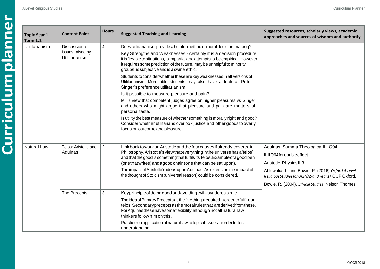| <b>Topic Year 1</b><br><b>Term 1.2</b> | <b>Content Point</b>                                       | <b>Hours</b>   | <b>Suggested Teaching and Learning</b>                                                                                                                                                                                                                                                                                                                                                                                                                                                                                                                                                                                                                                                                                                                                                                                                                                                                                                                           | Suggested resources, scholarly views, academic<br>approaches and sources of wisdom and authority                                                                                                                                                                 |
|----------------------------------------|------------------------------------------------------------|----------------|------------------------------------------------------------------------------------------------------------------------------------------------------------------------------------------------------------------------------------------------------------------------------------------------------------------------------------------------------------------------------------------------------------------------------------------------------------------------------------------------------------------------------------------------------------------------------------------------------------------------------------------------------------------------------------------------------------------------------------------------------------------------------------------------------------------------------------------------------------------------------------------------------------------------------------------------------------------|------------------------------------------------------------------------------------------------------------------------------------------------------------------------------------------------------------------------------------------------------------------|
| <b>Utilitarianism</b>                  | Discussion of<br>issues raised by<br><b>Utilitarianism</b> | 4              | Does utilitarianism provide a helpful method of moral decision making?<br>Key Strengths and Weaknesses - certainly it is a decision procedure,<br>it is flexible to situations, is impartial and attempts to be empirical. However<br>it requires some prediction of the future, may be unhelpful to minority<br>groups, is subjective and is a swine ethic.<br>Students to consider whether these are key weaknesses in all versions of<br>Utilitarianism. More able students may also have a look at Peter<br>Singer's preference utilitarianism.<br>Is it possible to measure pleasure and pain?<br>Mill's view that competent judges agree on higher pleasures vs Singer<br>and others who might argue that pleasure and pain are matters of<br>personal taste.<br>Is utility the best measure of whether something is morally right and good?<br>Consider whether utilitarians overlook justice and other goods to overly<br>focus on outcome and pleasure. |                                                                                                                                                                                                                                                                  |
| <b>Natural Law</b>                     | Telos: Aristotle and<br>Aquinas                            | $\overline{2}$ | Link back to work on Aristotle and the four causes if already covered in<br>Philosophy. Aristotle's view that everything in the universe has a 'telos'<br>and that the good is something that fulfils its telos. Example of a good pen<br>(onethatwrites) and a good chair (one that can be sat upon).<br>The impact of Aristotle's ideas upon Aquinas. As extension the impact of<br>the thought of Stoicism (universal reason) could be considered.                                                                                                                                                                                                                                                                                                                                                                                                                                                                                                            | Aquinas 'Summa Theologica II.I Q94<br>II.IIQ64 for double effect<br>Aristotle, Physics II.3<br>Ahluwalia, L. and Bowie, R. (2016) Oxford A Level<br>Religious Studies for OCR (AS and Year 1). OUP Oxford.<br>Bowie, R. (2004). Ethical Studies. Nelson Thornes. |
|                                        | The Precepts                                               | 3              | Keyprinciple of doing good and avoiding evil-synderesis rule.<br>The idea of Primary Precepts as the five things required in order to fulfil our<br>telos. Secondary precepts as the moral rules that are derived from these.<br>For Aquinas these have some flexibility although not all natural law<br>thinkers follow him on this.<br>Practice on application of natural law to topical issues in order to test<br>understanding.                                                                                                                                                                                                                                                                                                                                                                                                                                                                                                                             |                                                                                                                                                                                                                                                                  |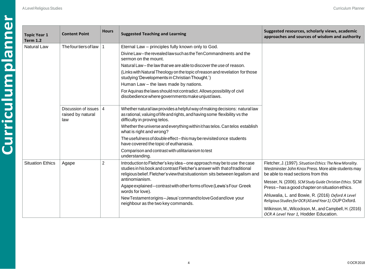| <b>Topic Year 1</b><br><b>Term 1.2</b> | <b>Content Point</b>                                 | <b>Hours</b>   | <b>Suggested Teaching and Learning</b>                                                                                                                                                                                                                                                                                                                                                                                                                                                                                           | Suggested resources, scholarly views, academic<br>approaches and sources of wisdom and authority                                                                                                                                                                                                                                                                                                                                                                                     |
|----------------------------------------|------------------------------------------------------|----------------|----------------------------------------------------------------------------------------------------------------------------------------------------------------------------------------------------------------------------------------------------------------------------------------------------------------------------------------------------------------------------------------------------------------------------------------------------------------------------------------------------------------------------------|--------------------------------------------------------------------------------------------------------------------------------------------------------------------------------------------------------------------------------------------------------------------------------------------------------------------------------------------------------------------------------------------------------------------------------------------------------------------------------------|
| <b>Natural Law</b>                     | The four tiers of law                                |                | Eternal Law - principles fully known only to God.<br>Divine Law-the revealed law such as the Ten Commandments and the<br>sermon on the mount.<br>Natural Law – the law that we are able to discover the use of reason.<br>(Links with Natural Theology on the topic of reason and revelation for those<br>studying 'Developments in Christian Thought.')<br>Human Law - the laws made by nations.<br>For Aquinas the laws should not contradict. Allows possibility of civil<br>disobedience where governments make unjust laws. |                                                                                                                                                                                                                                                                                                                                                                                                                                                                                      |
|                                        | Discussion of issues   4<br>raised by natural<br>law |                | Whether natural law provides a helpful way of making decisions: natural law<br>as rational, valuing of life and rights, and having some flexibility vs the<br>difficulty in proving telos.<br>Whether the universe and everything within it has telos. Can telos establish<br>what is right and wrong?<br>The usefulness of double effect-this may be revisited once students<br>have covered the topic of euthanasia.<br>Comparison and contrast with utilitarianism to test<br>understanding.                                  |                                                                                                                                                                                                                                                                                                                                                                                                                                                                                      |
| <b>Situation Ethics</b>                | Agape                                                | $\overline{2}$ | Introduction to Fletcher's key idea - one approach may be to use the case<br>studies in his book and contrast Fletcher's answer with that of traditional<br>religious belief. Fletcher's view that situationism sits between legalism and<br>antinomianism.<br>Agape explained-contrast with other forms of love (Lewis's Four Greek<br>words for love).<br>New Testamentorigins-Jesus' command to love God and love your<br>neighbour as the two key commands.                                                                  | Fletcher, J. (1997). Situation Ethics: The New Morality.<br>Westminster John Knox Press. More able students may<br>be able to read sections from this<br>Messer, N. (2006). SCM Study Guide Christian Ethics. SCM<br>Press-has a good chapter on situation ethics.<br>Ahluwalia, L. and Bowie, R. (2016) Oxford A Level<br>Religious Studies for OCR (AS and Year 1). OUP Oxford.<br>Wilkinson, M., Wilcockson, M., and Campbell, H. (2016)<br>OCR A Level Year 1, Hodder Education. |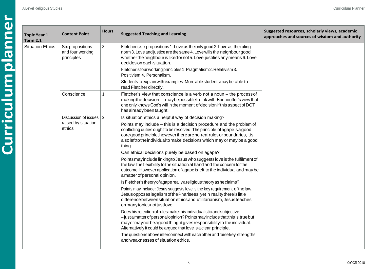| <b>Topic Year 1</b><br><b>Term 2.1</b> | <b>Content Point</b>                                    | <b>Hours</b>                            | <b>Suggested Teaching and Learning</b>                                                                                                                                                                                                                                                                     | Suggested resources, scholarly views, academic<br>approaches and sources of wisdom and authority                                                                                                                                                                |  |
|----------------------------------------|---------------------------------------------------------|-----------------------------------------|------------------------------------------------------------------------------------------------------------------------------------------------------------------------------------------------------------------------------------------------------------------------------------------------------------|-----------------------------------------------------------------------------------------------------------------------------------------------------------------------------------------------------------------------------------------------------------------|--|
| <b>Situation Ethics</b>                | Six propositions<br>and four working<br>principles      | 3                                       | Fletcher's six propositions 1. Love as the only good 2. Love as the ruling<br>norm 3. Love and justice are the same 4. Love wills the neighbour good<br>whether the neighbour is liked or not 5. Love justifies any means 6. Love<br>decides on each situation.                                            |                                                                                                                                                                                                                                                                 |  |
|                                        | Conscience                                              |                                         | Fletcher's four working principles 1. Pragmatism 2. Relativism 3.<br>Positivism 4. Personalism.                                                                                                                                                                                                            |                                                                                                                                                                                                                                                                 |  |
|                                        |                                                         |                                         | Students to explain with examples. More able students may be able to<br>read Fletcher directly.                                                                                                                                                                                                            |                                                                                                                                                                                                                                                                 |  |
|                                        |                                                         | 1                                       | Fletcher's view that conscience is a verb not a noun - the process of<br>making the decision-it may be possible to link with Bonhoeffer's view that<br>one only knows God's will in the moment of decision if this aspect of DCT<br>has already been taught.                                               |                                                                                                                                                                                                                                                                 |  |
|                                        | Discussion of issues 2<br>raised by situation<br>ethics |                                         | Is situation ethics a helpful way of decision making?                                                                                                                                                                                                                                                      |                                                                                                                                                                                                                                                                 |  |
|                                        |                                                         | thing.<br>a matter of personal opinion. | Points may include – this is a decision procedure and the problem of<br>conflicting duties ought to be resolved, The principle of agape is a good<br>core good principle, however there are no real rules or boundaries, it is<br>also left to the individual to make decisions which may or may be a good |                                                                                                                                                                                                                                                                 |  |
|                                        |                                                         |                                         | Can ethical decisions purely be based on agape?                                                                                                                                                                                                                                                            |                                                                                                                                                                                                                                                                 |  |
|                                        |                                                         |                                         | Points may include linking to Jesus who suggests love is the fulfilment of<br>the law, the flexibility to the situation at hand and the concern for the<br>outcome. However application of agape is left to the individual and may be                                                                      |                                                                                                                                                                                                                                                                 |  |
|                                        |                                                         |                                         | Is Fletcher's theory of agape really a religious theory as he claims?                                                                                                                                                                                                                                      |                                                                                                                                                                                                                                                                 |  |
|                                        |                                                         |                                         |                                                                                                                                                                                                                                                                                                            | Points may include: Jesus suggests love is the key requirement of the law,<br>Jesus opposes legalism of the Pharisees, yet in reality there is little<br>difference between situation ethics and utilitarianism, Jesus teaches<br>on many topics not just love. |  |
|                                        |                                                         |                                         | Does his rejection of rules make this individualistic and subjective<br>- just a matter of personal opinion? Points may include that this is true but<br>mayormaynotbeagoodthing; it gives responsibility to the individual.<br>Alternatively it could be argued that love is a clear principle.           |                                                                                                                                                                                                                                                                 |  |
|                                        |                                                         |                                         | The questions above interconnect with each other and raise key strengths<br>and weaknesses of situation ethics.                                                                                                                                                                                            |                                                                                                                                                                                                                                                                 |  |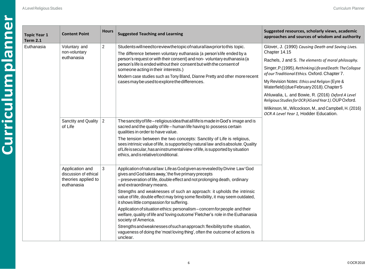| <b>Topic Year 1</b><br><b>Term 2.1</b> | <b>Content Point</b>                                                          | <b>Hours</b>   | <b>Suggested Teaching and Learning</b>                                                                                                                                                                                                                                                                                                                                                                                                                                                                                                                                                                                                                                                                                                                                                                                   | Suggested resources, scholarly views, academic<br>approaches and sources of wisdom and authority                                                                                                                                                                                                                                                                                                                                                                                                                                                          |
|----------------------------------------|-------------------------------------------------------------------------------|----------------|--------------------------------------------------------------------------------------------------------------------------------------------------------------------------------------------------------------------------------------------------------------------------------------------------------------------------------------------------------------------------------------------------------------------------------------------------------------------------------------------------------------------------------------------------------------------------------------------------------------------------------------------------------------------------------------------------------------------------------------------------------------------------------------------------------------------------|-----------------------------------------------------------------------------------------------------------------------------------------------------------------------------------------------------------------------------------------------------------------------------------------------------------------------------------------------------------------------------------------------------------------------------------------------------------------------------------------------------------------------------------------------------------|
| Euthanasia                             | Voluntary and<br>non-voluntary<br>euthanasia                                  | $\overline{2}$ | Students will need to review the topic of natural law prior to this topic.<br>The difference between voluntary euthanasia (a person's life ended by a<br>person's request or with their consent) and non-voluntary euthanasia (a<br>person's life is ended without their consent but with the consent of<br>someone acting in their interests.)<br>Modern case studies such as Tony Bland, Dianne Pretty and other more recent<br>cases may be used to explore the differences.                                                                                                                                                                                                                                                                                                                                          | Glover, J. (1990) Causing Death and Saving Lives.<br>Chapter 14.15<br>Rachels, J and S. The elements of moral philosophy.<br>Singer, P.(1995). Rethinking Life and Death: The Collapse<br>of our Traditional Ethics. Oxford. Chapter 7.<br>My Revision Notes: Ethics and Religion (Eyre &<br>Waterfield) (due February 2018). Chapter 5<br>Ahluwalia, L. and Bowie, R. (2016) Oxford A Level<br>Religious Studies for OCR (AS and Year 1). OUP Oxford.<br>Wilkinson, M., Wilcockson, M., and Campbell, H. (2016)<br>OCR A Level Year 1, Hodder Education. |
|                                        | Sanctity and Quality<br>of Life                                               | $\overline{2}$ | The sanctity of life-religious idea that all life is made in God's image and is<br>sacred and the quality of life - human life having to possess certain<br>qualities in order to have value.<br>The tension between the two concepts: Sanctity of Life is religious,<br>sees intrinsic value of life, is supported by natural law and is absolute. Quality<br>of Life is secular, has an instrumental view of life, is supported by situation<br>ethics, and is relative/conditional.                                                                                                                                                                                                                                                                                                                                   |                                                                                                                                                                                                                                                                                                                                                                                                                                                                                                                                                           |
|                                        | Application and<br>discussion of ethical<br>theories applied to<br>euthanasia | 3              | Application of natural law: Life as God given as revealed by Divine Law 'God<br>gives and God takes away,'the five primary precepts<br>- preseveration of life, double effect and not prolonging death, ordinary<br>and extraordinary means.<br>Strengths and weaknesses of such an approach: it upholds the intrinsic<br>value of life, double effect may bring some flexibility, it may seem outdated,<br>it shows little compassion for suffering.<br>Application of situation ethics: personalism - concern for people and their<br>welfare, quality of life and 'loving outcome' Fletcher's role in the Euthanasia<br>society of America.<br>Strengths and weaknesses of such an approach: flexibility to the situation,<br>vagueness of doing the 'most loving thing', often the outcome of actions is<br>unclear. |                                                                                                                                                                                                                                                                                                                                                                                                                                                                                                                                                           |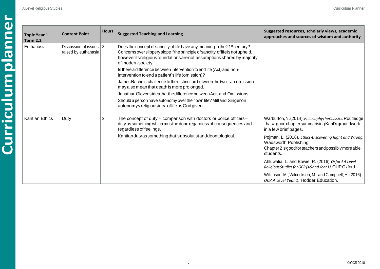| <b>Topic Year 1</b><br><b>Term 2.2</b> | <b>Content Point</b>                                         | <b>Hours</b>   | <b>Suggested Teaching and Learning</b>                                                                                                                                                                                                                                       | Suggested resources, scholarly views, academic<br>approaches and sources of wisdom and authority                                                            |                                                                                                             |
|----------------------------------------|--------------------------------------------------------------|----------------|------------------------------------------------------------------------------------------------------------------------------------------------------------------------------------------------------------------------------------------------------------------------------|-------------------------------------------------------------------------------------------------------------------------------------------------------------|-------------------------------------------------------------------------------------------------------------|
| Euthanasia                             | Discussion of issues $\vert 3 \vert$<br>raised by euthanasia |                | Does the concept of sanctity of life have any meaning in the 21 <sup>st</sup> century?<br>Concerns over slippery slope if the principle of sanctity of life is not upheld,<br>however its religious foundations are not assumptions shared by majority<br>of modern society. |                                                                                                                                                             |                                                                                                             |
|                                        |                                                              |                | Is there a difference between intervention to end life (Act) and non-<br>intervention to end a patient's life (omission)?                                                                                                                                                    |                                                                                                                                                             |                                                                                                             |
|                                        |                                                              |                | James Rachels' challenge to the distinction between the two-an omission<br>may also mean that death is more prolonged.                                                                                                                                                       |                                                                                                                                                             |                                                                                                             |
|                                        |                                                              |                | Jonathan Glover's idea that the difference between Acts and Omissions.                                                                                                                                                                                                       |                                                                                                                                                             |                                                                                                             |
|                                        |                                                              |                | Should a person have autonomy over their own life? Mill and Singer on<br>autonomy v religious idea of life as God given.                                                                                                                                                     |                                                                                                                                                             |                                                                                                             |
| <b>Kantian Ethics</b>                  | Duty                                                         | $\overline{2}$ | The concept of duty - comparison with doctors or police officers-<br>duty as something which must be done regardless of consequences and<br>regardless of feelings.                                                                                                          | Warburton, N. (2014). Philosophy the Classics. Routledge<br>- has a good chapter summarising Kant's groundwork<br>in a few brief pages.                     |                                                                                                             |
|                                        |                                                              |                | Kantiandutyas something that is absolutist and deontological.                                                                                                                                                                                                                | Pojman, L. (2016). Ethics-Discovering Right and Wrong.<br><b>Wadsworth Publishing</b><br>Chapter 2 is good for teachers and possibly more able<br>students. |                                                                                                             |
|                                        |                                                              |                |                                                                                                                                                                                                                                                                              |                                                                                                                                                             | Ahluwalia, L. and Bowie, R. (2016) Oxford A Level<br>Religious Studies for OCR (AS and Year 1). OUP Oxford. |
|                                        |                                                              |                |                                                                                                                                                                                                                                                                              | Wilkinson, M., Wilcockson, M., and Campbell, H. (2016)<br>OCR A Level Year 1, Hodder Education.                                                             |                                                                                                             |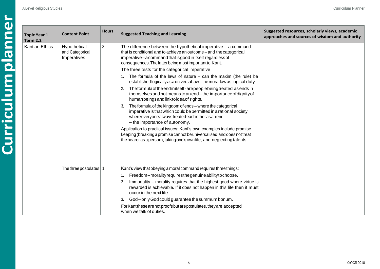| <b>Topic Year 1</b><br><b>Term 2.2</b> | <b>Content Point</b>                           | <b>Hours</b> | <b>Suggested Teaching and Learning</b>                                                                                                                                                                                                                        | Suggested resources, scholarly views, academic<br>approaches and sources of wisdom and authority |
|----------------------------------------|------------------------------------------------|--------------|---------------------------------------------------------------------------------------------------------------------------------------------------------------------------------------------------------------------------------------------------------------|--------------------------------------------------------------------------------------------------|
| <b>Kantian Ethics</b>                  | Hypothetical<br>and Categorical<br>Imperatives | 3            | The difference between the hypothetical imperative $-$ a command<br>that is conditional and to achieve an outcome - and the categorical<br>imperative-acommand that is good in itself regardless of<br>consequences. The latter being most important to Kant. |                                                                                                  |
|                                        |                                                |              | The three tests for the categorical imperative                                                                                                                                                                                                                |                                                                                                  |
|                                        |                                                |              | The formula of the laws of nature $-$ can the maxim (the rule) be<br>established logically as a universal law - the moral law as logical duty.                                                                                                                |                                                                                                  |
|                                        |                                                |              | Theformula of the endinitself-arepeople being treated as ends in<br>2.<br>themselves and not means to an end-the importance of dignity of<br>humanbeings and link to idea of rights.                                                                          |                                                                                                  |
|                                        |                                                |              | The formula of the kingdom of ends - where the categorical<br>imperative is that which could be permitted in a rational society<br>where everyone always treated each other as an end<br>- the importance of autonomy.                                        |                                                                                                  |
|                                        |                                                |              | Application to practical issues: Kant's own examples include promise<br>keeping (breaking a promise cannot be universalised and does not treat<br>the hearer as a person), taking one's own life, and neglecting talents.                                     |                                                                                                  |
|                                        |                                                |              |                                                                                                                                                                                                                                                               |                                                                                                  |
|                                        | The three postulates   1                       |              | Kant's view that obeying a moral command requires three things:                                                                                                                                                                                               |                                                                                                  |
|                                        |                                                |              | Freedom-morality requires the genuine ability to choose.<br>1.                                                                                                                                                                                                |                                                                                                  |
|                                        |                                                |              | Immortality – morality requires that the highest good where virtue is<br>rewarded is achievable. If it does not happen in this life then it must<br>occur in the next life.                                                                                   |                                                                                                  |
|                                        |                                                |              | God-only God could guarantee the summum bonum.<br>3.                                                                                                                                                                                                          |                                                                                                  |
|                                        |                                                |              | For Kant these are not proofs but are postulates, they are accepted<br>when we talk of duties.                                                                                                                                                                |                                                                                                  |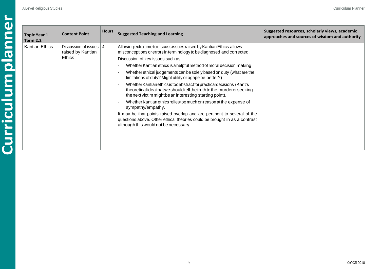| <b>Topic Year 1</b><br><b>Term 2.2</b> | <b>Content Point</b>                                    | <b>Hours</b> | <b>Suggested Teaching and Learning</b>                                                                                                                                                                                                                                                                                                                                                                                                                                                                                                                                                                                                                                                                                                                                                                                                                                                                     | Suggested resources, scholarly views, academic<br>approaches and sources of wisdom and authority |
|----------------------------------------|---------------------------------------------------------|--------------|------------------------------------------------------------------------------------------------------------------------------------------------------------------------------------------------------------------------------------------------------------------------------------------------------------------------------------------------------------------------------------------------------------------------------------------------------------------------------------------------------------------------------------------------------------------------------------------------------------------------------------------------------------------------------------------------------------------------------------------------------------------------------------------------------------------------------------------------------------------------------------------------------------|--------------------------------------------------------------------------------------------------|
| <b>Kantian Ethics</b>                  | Discussion of issues   4<br>raised by Kantian<br>Ethics |              | Allowing extra time to discuss issues raised by Kantian Ethics allows<br>misconceptions or errors in terminology to be diagnosed and corrected.<br>Discussion of key issues such as<br>Whether Kantian ethics is a helpful method of moral decision making<br>Whether ethical judgements can be solely based on duty (what are the<br>limitations of duty? Might utility or agape be better?)<br>Whether Kantian ethics is too abstract for practical decisions (Kant's<br>theoretical idea that we should tell the truth to the murderer seeking<br>the next victim might be an interesting starting point).<br>Whether Kantian ethics relies too much on reason at the expense of<br>sympathy/empathy.<br>It may be that points raised overlap and are pertinent to several of the<br>questions above. Other ethical theories could be brought in as a contrast<br>although this would not be necessary. |                                                                                                  |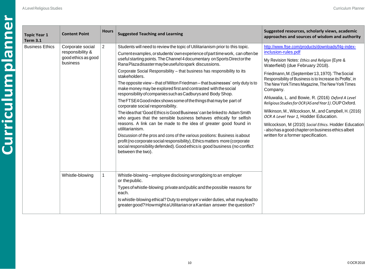| <b>Topic Year 1</b><br><b>Term 3.1</b> | <b>Content Point</b>                                                    | <b>Hours</b>                 | <b>Suggested Teaching and Learning</b>                                                                                                                                                                                                                                                                                                                                                                                                                                                                                                                                                                                                                                                                                                                                                                                                                                                                                                                                                                                                                                                                                                                                                                                                    | Suggested resources, scholarly views, academic<br>approaches and sources of wisdom and authority                                                                                                                                                                                                                                                                                                                                                                                                                                                                                                                                                                                                                       |
|----------------------------------------|-------------------------------------------------------------------------|------------------------------|-------------------------------------------------------------------------------------------------------------------------------------------------------------------------------------------------------------------------------------------------------------------------------------------------------------------------------------------------------------------------------------------------------------------------------------------------------------------------------------------------------------------------------------------------------------------------------------------------------------------------------------------------------------------------------------------------------------------------------------------------------------------------------------------------------------------------------------------------------------------------------------------------------------------------------------------------------------------------------------------------------------------------------------------------------------------------------------------------------------------------------------------------------------------------------------------------------------------------------------------|------------------------------------------------------------------------------------------------------------------------------------------------------------------------------------------------------------------------------------------------------------------------------------------------------------------------------------------------------------------------------------------------------------------------------------------------------------------------------------------------------------------------------------------------------------------------------------------------------------------------------------------------------------------------------------------------------------------------|
| <b>Business Ethics</b>                 | Corporate social<br>responsibility &<br>good ethics as good<br>business | $\overline{2}$               | Students will need to review the topic of Utilitarianism prior to this topic.<br>Current examples, or students' own experience of part time work, can often be<br>useful starting points. The Channel 4 documentary on Sports Director the<br>Rana Plazadisastermay be useful to spark discussions.<br>Corporate Social Responsibility - that business has responsibility to its<br>stakeholders.<br>The opposite view - that of Milton Friedman - that businesses' only duty is to<br>make money may be explored first and contrasted with the social<br>responsibility of companies such as Cadburys and Body Shop.<br>The FTSE4 Good index shows some of the things that may be part of<br>corporate social responsibility.<br>The idea that 'Good Ethics is Good Business' can be linked to Adam Smith<br>who argues that the sensible business behaves ethically for selfish<br>reasons. A link can be made to the idea of greater good found in<br>utilitarianism.<br>Discussion of the pros and cons of the various positions: Business is about<br>profit (no corporate social responsibility), Ethics matters more (corporate<br>social responsibility defended). Good ethics is good business (no conflict<br>between the two). | http://www.ftse.com/products/downloads/f4g-index-<br>inclusion-rules.pdf<br>My Revision Notes: Ethics and Religion (Eyre &<br>Waterfield) (due February 2018).<br>Friedmann, M. (September 13, 1970). 'The Social<br>Responsibility of Business is to Increase its Profits', in<br>The New York Times Magazine, The New York Times<br>Company.<br>Ahluwalia, L. and Bowie, R. (2016) Oxford A Level<br>Religious Studies for OCR (AS and Year 1). OUP Oxford.<br>Wilkinson, M., Wilcockson, M., and Campbell, H. (2016)<br>OCR A Level Year 1, Hodder Education.<br>Wilcockson, M (2010) Social Ethics. Hodder Education<br>- also has a good chapter on business ethics albeit<br>written for a former specification. |
|                                        | Whistle-blowing                                                         | 1<br>or the public.<br>each. | Whistle-blowing – employee disclosing wrongdoing to an employer<br>Types of whistle-blowing: private and public and the possible reasons for<br>Is whistle-blowing ethical? Duty to employer v wider duties, what may lead to<br>greater good? How might a Utilitarian or a Kantian answer the question?                                                                                                                                                                                                                                                                                                                                                                                                                                                                                                                                                                                                                                                                                                                                                                                                                                                                                                                                  |                                                                                                                                                                                                                                                                                                                                                                                                                                                                                                                                                                                                                                                                                                                        |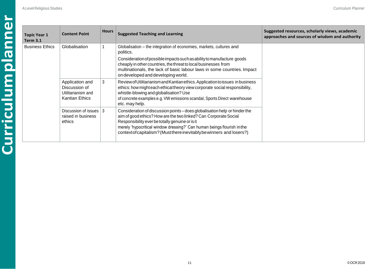| <b>Topic Year 1</b><br>Term 3.1 | <b>Content Point</b>                                                            | <b>Hours</b> | <b>Suggested Teaching and Learning</b>                                                                                                                                                                                                                                                                                                                | Suggested resources, scholarly views, academic<br>approaches and sources of wisdom and authority |
|---------------------------------|---------------------------------------------------------------------------------|--------------|-------------------------------------------------------------------------------------------------------------------------------------------------------------------------------------------------------------------------------------------------------------------------------------------------------------------------------------------------------|--------------------------------------------------------------------------------------------------|
| <b>Business Ethics</b>          | Globalisation                                                                   |              | Globalisation - the integration of economies, markets, cultures and<br>politics.                                                                                                                                                                                                                                                                      |                                                                                                  |
|                                 |                                                                                 |              | Consideration of possible impacts such as ability to manufacture goods<br>cheaply in other countries, the threat to local businesses from<br>multinationals, the lack of basic labour laws in some countries. Impact<br>on developed and developing world.                                                                                            |                                                                                                  |
|                                 | Application and<br>Discussion of<br>Utilitarianism and<br><b>Kantian Ethics</b> | 3            | Review of Utilitarianism and Kantian ethics. Application to issues in business<br>ethics: how might each ethical theory view corporate social responsibility,<br>whistle-blowing and globalisation? Use<br>of concrete examples e.g. VW emissions scandal, Sports Direct warehouse<br>etc. may help.                                                  |                                                                                                  |
|                                 | Discussion of issues   3<br>raised in business<br>ethics                        |              | Consideration of discussion points – does globalisation help or hinder the<br>aim of good ethics? How are the two linked? Can Corporate Social<br>Responsibility ever be totally genuine or is it<br>merely 'hypocritical window dressing?' Can human beings flourish in the<br>context of capitalism? (Must there inevitably be winners and losers?) |                                                                                                  |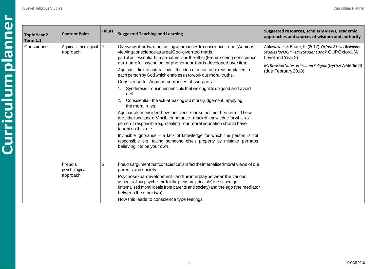| <b>Topic Year 2</b><br><b>Term 1.1</b> | <b>Content Point</b>                 | <b>Hours</b>   | <b>Suggested Teaching and Learning</b>                                                                                                                                                                                                                                                                                                                                                                                                                                                                                                                                                                                                                                                                                                                                                                                                                                                                                                                                                                                                                                                             | Suggested resources, scholarly views, academic<br>approaches and sources of wisdom and authority                                                                                                                     |
|----------------------------------------|--------------------------------------|----------------|----------------------------------------------------------------------------------------------------------------------------------------------------------------------------------------------------------------------------------------------------------------------------------------------------------------------------------------------------------------------------------------------------------------------------------------------------------------------------------------------------------------------------------------------------------------------------------------------------------------------------------------------------------------------------------------------------------------------------------------------------------------------------------------------------------------------------------------------------------------------------------------------------------------------------------------------------------------------------------------------------------------------------------------------------------------------------------------------------|----------------------------------------------------------------------------------------------------------------------------------------------------------------------------------------------------------------------|
| Conscience                             | Aquinas' theological<br>approach     | $\overline{2}$ | Overview of the two contrasting approaches to conscience – one (Aquinas)<br>viewing conscience as a real God-given tool that is<br>part of our essential human nature, and the other (Freud) seeing conscience<br>as anameforpsychological phenomenathat is developed over time.<br>Aquinas - link to natural law - the idea of recta ratio: reason placed in<br>each person by God which enables us to work out moral truths.<br>Conscience for Aquinas comprises of two parts:<br>Synderesis – our inner principle that we ought to do good and avoid<br>evil.<br>Conscientia - the actual making of a moral judgement, applying<br>2.<br>the moral rules.<br>Aquinas also considers how conscience can sometimes be in error. These<br>are either because of Vincible ignorance-alack of knowledge for which a<br>person is responsible e.g. stealing-our moral education should have<br>taught us this rule.<br>Invincible ignorance $-$ a lack of knowledge for which the person is not<br>responsible e.g. taking someone else's property by mistake perhaps<br>believing it to be your own. | Ahluwalia, L & Bowie, R. (2017). Oxford A Level Religious<br>StudiesforOCR: Year2StudentBook.OUPOxford.(A<br>Level and Year 2)<br>My Revision Notes: Ethics and Religion (Eyre & Waterfield)<br>(due February 2018). |
|                                        | Freud's<br>psychological<br>approach | 2              | Freud's argument that 'conscience' is infact the internalised moral views of our<br>parents and society.<br>Psychosexual development-and the interplay between the various<br>aspects of our psyche: the Id (the pleasure principle) the superego<br>(internalised moral ideals from parents and society) and the ego (the mediator<br>between the other two).<br>How this leads to conscience type feelings.                                                                                                                                                                                                                                                                                                                                                                                                                                                                                                                                                                                                                                                                                      |                                                                                                                                                                                                                      |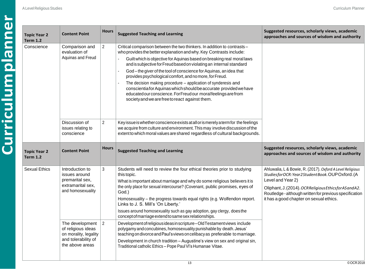| <b>Topic Year 2</b><br><b>Term 1.2</b> | <b>Content Point</b>                                                                          | <b>Hours</b>   | <b>Suggested Teaching and Learning</b>                                                                                                                                                                                                                                                                                                                                                                                                                                                                                                                                                                                                                                                     | Suggested resources, scholarly views, academic<br>approaches and sources of wisdom and authority                                                                                                                                                                                                 |
|----------------------------------------|-----------------------------------------------------------------------------------------------|----------------|--------------------------------------------------------------------------------------------------------------------------------------------------------------------------------------------------------------------------------------------------------------------------------------------------------------------------------------------------------------------------------------------------------------------------------------------------------------------------------------------------------------------------------------------------------------------------------------------------------------------------------------------------------------------------------------------|--------------------------------------------------------------------------------------------------------------------------------------------------------------------------------------------------------------------------------------------------------------------------------------------------|
| Conscience                             | Comparison and<br>evaluation of<br>Aquinas and Freud                                          | $\overline{2}$ | Critical comparison between the two thinkers. In addition to contrasts -<br>who provides the better explanation and why. Key Contrasts include:<br>Guilt which is objective for Aquinas based on breaking real moral laws<br>and is subjective for Freud based on violating an internal standard<br>God-the giver of the tool of conscience for Aquinas, an idea that<br>provides psychological comfort, and no more, for Freud.<br>The decision making procedure - application of synderesis and<br>conscientia for Aquinas which should be accurate provided we have<br>educated our conscience. For Freud our moral feelings are from<br>society and we are free to react against them. |                                                                                                                                                                                                                                                                                                  |
|                                        | Discussion of<br>issues relating to<br>conscience                                             | $\overline{2}$ | Key issue is whether conscience exists at all or is merely a term for the feelings<br>we acquire from culture and environment. This may involve discussion of the<br>extent to which moral values are shared regardless of cultural backgrounds.                                                                                                                                                                                                                                                                                                                                                                                                                                           |                                                                                                                                                                                                                                                                                                  |
| <b>Topic Year 2</b><br><b>Term 1.2</b> | <b>Content Point</b>                                                                          | <b>Hours</b>   | <b>Suggested Teaching and Learning</b>                                                                                                                                                                                                                                                                                                                                                                                                                                                                                                                                                                                                                                                     | Suggested resources, scholarly views, academic<br>approaches and sources of wisdom and authority                                                                                                                                                                                                 |
| <b>Sexual Ethics</b>                   | Introduction to<br>issues around<br>premarital sex,<br>extramarital sex,<br>and homosexuality | 3              | Students will need to review the four ethical theories prior to studying<br>this topic.<br>What is important about marriage and why do some religious believers it is<br>the only place for sexual intercourse? (Covenant, public promises, eyes of<br>God.)<br>Homosexuality - the progress towards equal rights (e.g. Wolfendon report.<br>Links to J. S. Mill's 'On Liberty.'<br>Issues around homosexuality such as gay adoption, gay clergy, does the<br>concept of marriage extend to same sex relationships.                                                                                                                                                                        | Ahluwalia, L & Bowie, R. (2017). Oxford A Level Religious<br>StudiesforOCR: Year2StudentBook.OUPOxford.(A<br>Level and Year 2)<br>Oliphant, J. (2014). OCR Religious Ethics for AS and A2.<br>Routledge - although written for previous specification<br>it has a good chapter on sexual ethics. |
|                                        | The development<br>of religious ideas<br>on morality, legality                                | $\overline{2}$ | Development of religious ideas in scripture-Old Testament views include<br>polygamy and concubines, homosexuality punishable by death. Jesus'<br>teaching on divorce and Paul's views on celibacy as preferable to marriage.                                                                                                                                                                                                                                                                                                                                                                                                                                                               |                                                                                                                                                                                                                                                                                                  |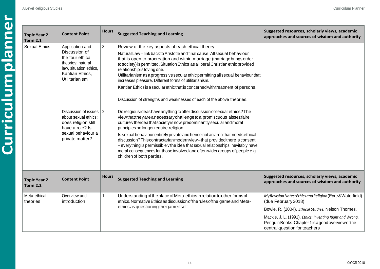| <b>Topic Year 2</b><br><b>Term 2.1</b> | <b>Content Point</b>                                                                                                                      | <b>Hours</b> | <b>Suggested Teaching and Learning</b>                                                                                                                                                                                                                                                                                                                                                                                                                                                                                                                                                                                                | Suggested resources, scholarly views, academic<br>approaches and sources of wisdom and authority                                                                                                                                                                                            |
|----------------------------------------|-------------------------------------------------------------------------------------------------------------------------------------------|--------------|---------------------------------------------------------------------------------------------------------------------------------------------------------------------------------------------------------------------------------------------------------------------------------------------------------------------------------------------------------------------------------------------------------------------------------------------------------------------------------------------------------------------------------------------------------------------------------------------------------------------------------------|---------------------------------------------------------------------------------------------------------------------------------------------------------------------------------------------------------------------------------------------------------------------------------------------|
| <b>Sexual Ethics</b>                   | Application and<br>Discussion of<br>the four ethical<br>theories: natural<br>law, situation ethics,<br>Kantian Ethics,<br>Utilitarianism  | $\mathbf{3}$ | Review of the key aspects of each ethical theory.<br>Natural Law-link back to Aristotle and final cause. All sexual behaviour<br>that is open to procreation and within marriage (marriage brings order<br>to society) is permitted. Situation Ethics as a liberal Christian ethic provided<br>relationship is loving one.<br>Utilitarianism as a progressive secular ethic permitting all sexual behaviour that<br>increases pleasure. Different forms of utilitarianism.<br>Kantian Ethics is a secular ethic that is concerned with treatment of persons.<br>Discussion of strengths and weaknesses of each of the above theories. |                                                                                                                                                                                                                                                                                             |
|                                        | Discussion of issues $\vert$ 2<br>about sexual ethics:<br>does religion still<br>have a role? Is<br>sexual behaviour a<br>private matter? |              | Do religious ideas have anything to offer discussion of sexual ethics? The<br>viewthatthey are a necessary challenge to a promiscuous laissez faire<br>culture v the idea that society is now predominantly secular and moral<br>principles no longer require religion.<br>Is sexual behaviour entirely private and hence not an area that needs ethical<br>discussion? This contractarian modern view-that provided there is consent<br>- everything is permissible v the idea that sexual relationships inevitably have<br>moral consequences for those involved and often wider groups of people e.g.<br>children of both parties. |                                                                                                                                                                                                                                                                                             |
| <b>Topic Year 2</b><br><b>Term 2.2</b> | <b>Content Point</b>                                                                                                                      | <b>Hours</b> | <b>Suggested Teaching and Learning</b>                                                                                                                                                                                                                                                                                                                                                                                                                                                                                                                                                                                                | Suggested resources, scholarly views, academic<br>approaches and sources of wisdom and authority                                                                                                                                                                                            |
| Meta-ethical<br>theories               | Overview and<br>introduction                                                                                                              | 1            | Understanding of the place of Meta-ethics in relation to other forms of<br>ethics. Normative Ethics as discussion of the rules of the game and Meta-<br>ethics as questioning the game itself.                                                                                                                                                                                                                                                                                                                                                                                                                                        | My Revision Notes: Ethics and Religion (Eyre & Waterfield)<br>(due February 2018).<br>Bowie, R. (2004). Ethical Studies. Nelson Thornes.<br>Mackie, J. L. (1991). Ethics: Inventing Right and Wrong.<br>Penguin Books. Chapter 1 is a good overview of the<br>central question for teachers |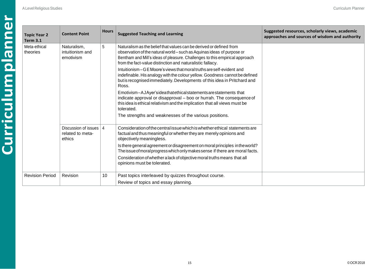| <b>Topic Year 2</b><br><b>Term 3.1</b> | <b>Content Point</b>                               | <b>Hours</b> | <b>Suggested Teaching and Learning</b>                                                                                                                                                                                                                                                    | Suggested resources, scholarly views, academic<br>approaches and sources of wisdom and authority |
|----------------------------------------|----------------------------------------------------|--------------|-------------------------------------------------------------------------------------------------------------------------------------------------------------------------------------------------------------------------------------------------------------------------------------------|--------------------------------------------------------------------------------------------------|
| Meta-ethical<br>theories               | Naturalism,<br>intuitionism and<br>emotivism       | 5            | Naturalism as the belief that values can be derived or defined from<br>observation of the natural world – such as Aquinas ideas of purpose or<br>Bentham and Mill's ideas of pleasure. Challenges to this empirical approach<br>from the fact-value distinction and naturalistic fallacy. |                                                                                                  |
|                                        |                                                    |              | Intuitionism – GE Moore's views that moral truths are self-evident and<br>indefinable. His analogy with the colour yellow. Goodness cannot be defined<br>but is recognised immediately. Developments of this idea in Pritchard and<br>Ross.                                               |                                                                                                  |
|                                        |                                                    |              | Emotivism-AJAyer'sideathatethicalstatements are statements that<br>indicate approval or disapproval - boo or hurrah. The consequence of<br>this idea is ethical relativism and the implication that all views must be<br>tolerated.                                                       |                                                                                                  |
|                                        |                                                    |              | The strengths and weaknesses of the various positions.                                                                                                                                                                                                                                    |                                                                                                  |
|                                        | Discussion of issues<br>related to meta-<br>ethics | 4            | Consideration of the central issue which is whether ethical statements are<br>factual and thus meaningful or whether they are merely opinions and<br>objectively meaningless.                                                                                                             |                                                                                                  |
|                                        |                                                    |              | Is there general agreement or disagreement on moral principles in the world?<br>The issue of moral progress which only makes sense if there are moral facts.                                                                                                                              |                                                                                                  |
|                                        |                                                    |              | Consideration of whether a lack of objective moral truths means that all<br>opinions must be tolerated.                                                                                                                                                                                   |                                                                                                  |
| <b>Revision Period</b>                 | Revision                                           | 10           | Past topics interleaved by quizzes throughout course.                                                                                                                                                                                                                                     |                                                                                                  |
|                                        |                                                    |              | Review of topics and essay planning.                                                                                                                                                                                                                                                      |                                                                                                  |